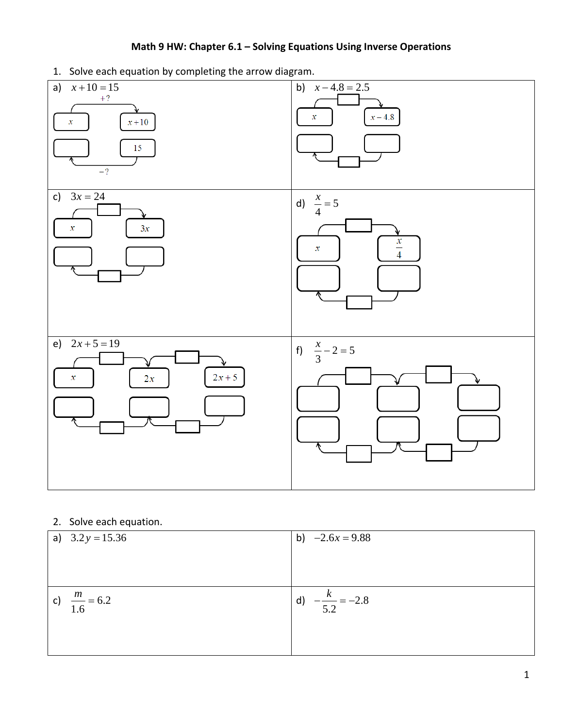## **Math 9 HW: Chapter 6.1 – Solving Equations Using Inverse Operations**

1. Solve each equation by completing the arrow diagram.



2. Solve each equation.

| a) $3.2y = 15.36$        | b) $-2.6x = 9.88$                 |
|--------------------------|-----------------------------------|
| c) $\frac{m}{1.6} = 6.2$ | d) $-\frac{k}{5.5} = -2.8$<br>5.2 |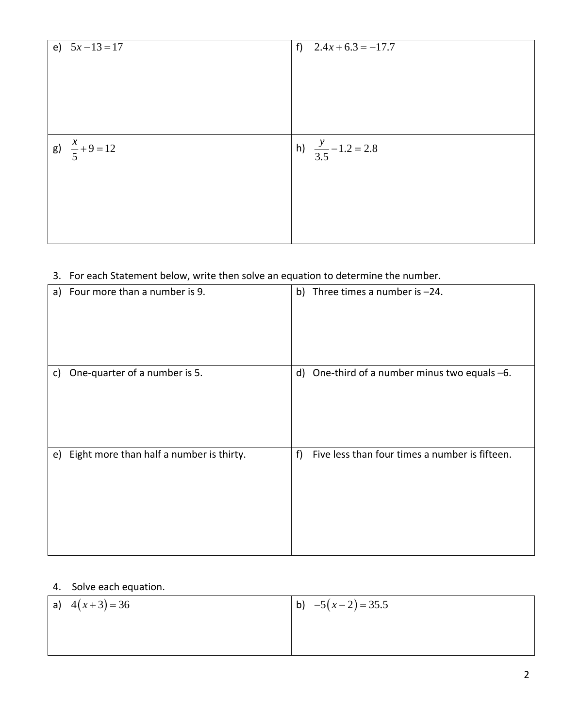| e) $5x-13=17$             | f) $2.4x + 6.3 = -17.7$        |
|---------------------------|--------------------------------|
| $g) \frac{x}{5} + 9 = 12$ | h) $\frac{y}{3.5} - 1.2 = 2.8$ |

## 3. For each Statement below, write then solve an equation to determine the number.

|    | a) Four more than a number is 9.         |   | b) Three times a number is $-24$ .               |
|----|------------------------------------------|---|--------------------------------------------------|
| C) | One-quarter of a number is 5.            |   | d) One-third of a number minus two equals $-6$ . |
| e) | Eight more than half a number is thirty. | f | Five less than four times a number is fifteen.   |

## 4. Solve each equation.

| a) $4(x+3) = 36$ | b) $-5(x-2) = 35.5$ |
|------------------|---------------------|
|                  |                     |
|                  |                     |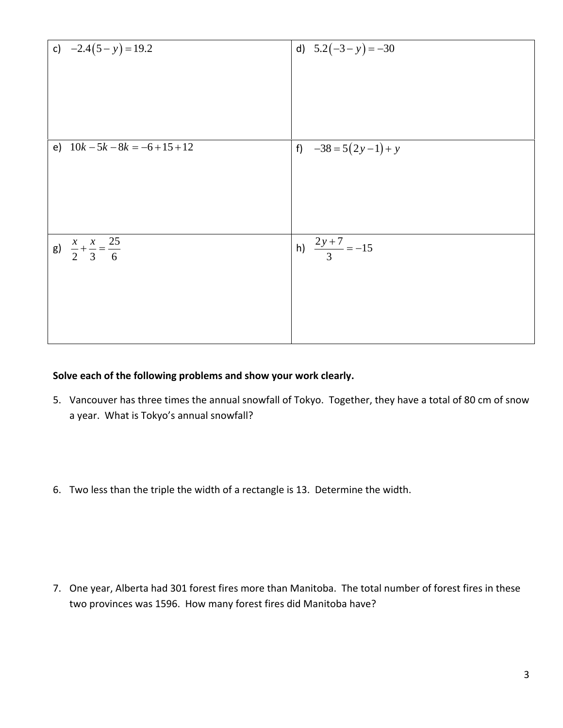| c) $-2.4(5 - y) = 19.2$                       | d) $5.2(-3 - y) = -30$    |
|-----------------------------------------------|---------------------------|
| e) $10k - 5k - 8k = -6 + 15 + 12$             | f) $-38 = 5(2y-1) + y$    |
| g) $\frac{x}{2} + \frac{x}{3} = \frac{25}{6}$ | h) $\frac{2y+7}{3} = -15$ |

## **Solve each of the following problems and show your work clearly.**

- 5. Vancouver has three times the annual snowfall of Tokyo. Together, they have a total of 80 cm of snow a year. What is Tokyo's annual snowfall?
- 6. Two less than the triple the width of a rectangle is 13. Determine the width.

7. One year, Alberta had 301 forest fires more than Manitoba. The total number of forest fires in these two provinces was 1596. How many forest fires did Manitoba have?